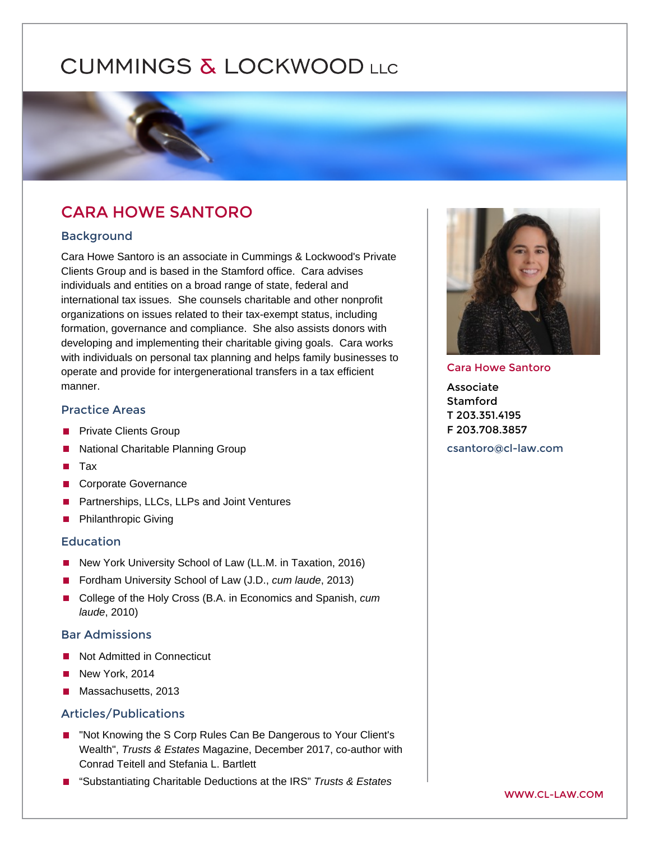# CARA HOWE SANTORO

#### Background

Cara Howe Santoro is an associate in Cummings & Lockwood's Private Clients Group and is based in the Stamford office. Cara advises individuals and entities on a broad range of state, federal and international tax issues. She counsels charitable and other nonprofit organizations on issues related to their tax-exempt status, including formation, governance and compliance. She also assists donors with developing and implementing their charitable giving goals. Cara works with individuals on personal tax planning and helps family businesses to operate and provide for intergenerational transfers in a tax efficient manner.

## Practice Areas

[Private Clients Group](https://www.cl-law.com/practice-areas/private-clients-group)  [National Charitable Planning Group](https://www.cl-law.com/practice-areas/national-charitable-planning-group)  [Tax](https://www.cl-law.com/practice-areas/tax)  [Corporate Governance](https://www.cl-law.com/practice-areas/corporate-governance)  [Partnerships, LLCs, LLPs and Joint Ventures](https://www.cl-law.com/practice-areas/partnerships-llcs-llps-joint-ventures)  [Philanthropic Giving](https://www.cl-law.com/practice-areas/philanthropic-giving) 

#### Education

New York University School of Law (LL.M. in Taxation, 2016) Fordham University School of Law (J.D., cum laude, 2013) College of the Holy Cross (B.A. in Economics and Spanish, cum laude, 2010)

#### Bar Admissions

Not Admitted in Connecticut New York, 2014 Massachusetts, 2013

### Articles/Publications

"Not Knowing the S Corp Rules Can Be Dangerous to Your Client's Wealth", Trusts & Estates Magazine, December 2017, co-author with Conrad Teitell and Stefania L. Bartlett

"Substantiating Charitable Deductions at the IRS" Trusts & Estates

#### Cara Howe Santoro

Associate Stamford T 203.351.4195 F 203.708.3857

[csantoro@cl-law](mailto:csantoro@cl-law.com).com